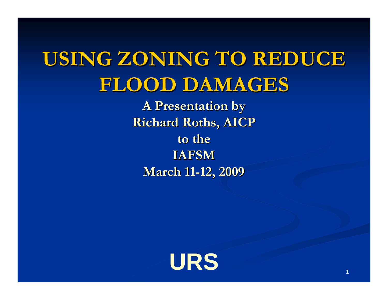## USING ZONING TO REDUCE **FLOOD DAMAGES FLOOD DAMAGES**

**A Presentation by A Presentation by Richard Roths, AICP Richard Roths, AICP to the IAFSM March 11 March 11-12, 2009 12, 2009**

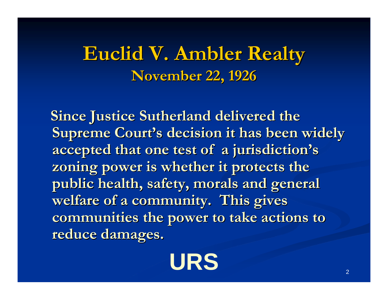#### **Euclid V. Ambler Realty Euclid V. Ambler Realty November 22, 1926 November 22, 1926**

**Since Justice Sutherland delivered the Supreme Court's decision it has been widely accepted that one test of a jurisdiction accepted that one test of a jurisdiction's**  zoning power is whether it protects the public health, safety, morals and general welfare of a community. This gives communities the power to take actions to **reduce damages. reduce damages.**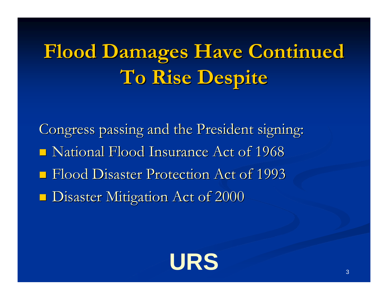# **Flood Damages Have Continued Flood Damages Have Continued To Rise Despite To Rise Despite**

Congress passing and the President signing:  $\blacksquare$  National Flood Insurance Act of 1968 **Flood Disaster Protection Act of 1993 Disaster Mitigation Act of 2000** 

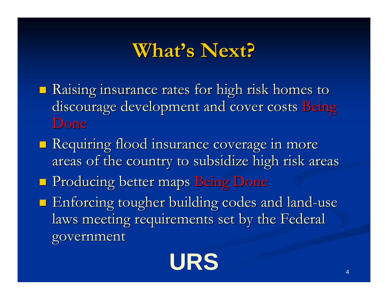#### **What's Next? s Next?**

- **Raising insurance rates for high risk homes to** discourage development and cover costs Being Done
- **Requiring flood insurance coverage in more** areas of the country to subsidize high risk areas
- **Producing better maps Being Done**
- $\blacksquare$  Enforcing tougher building codes and land-use laws meeting requirements set by the Federal government government

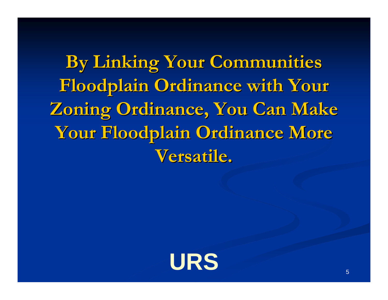**By Linking Your Communities By Linking Your Communities**  Floodplain Ordinance with Your **Zoning Ordinance, You Can Make Your Floodplain Ordinance More Your Floodplain Ordinance More Versatile. Versatile.**

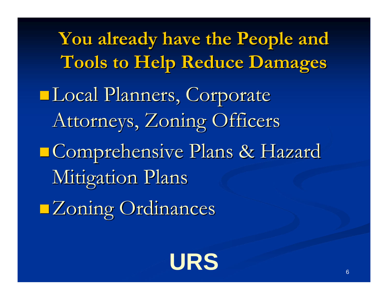**You already have the People and You already have the People and Tools to Help Reduce Damages Tools to Help Reduce Damages** Local Planners, Corporate Attorneys, Zoning Officers **Comprehensive Plans & Hazard Mitigation Plans Zoning Ordinances**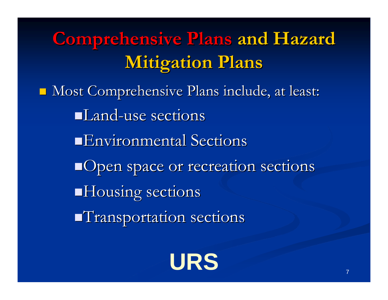**Comprehensive Plans Comprehensive Plans and Hazard and Hazard Mitigation Plans Mitigation Plans**

 Most Comprehensive Plans include, at least: Most Comprehensive Plans include, at least: Land-use sections **Environmental Sections** Open space or recreation sections  $\blacksquare$  Housing sections  $\blacksquare$ Transportation sections

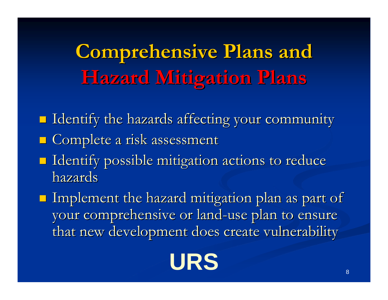**Comprehensive Plans and Hazard Mitigation Plans Hazard Mitigation Plans**

- $\blacksquare$  Identify the hazards affecting your community  $\blacksquare$  Complete a risk assessment
- $\blacksquare$  Identify possible mitigation actions to reduce hazards
- $\blacksquare$  Implement the hazard mitigation plan as part of your comprehensive or land-use plan to ensure that new development does create vulnerability

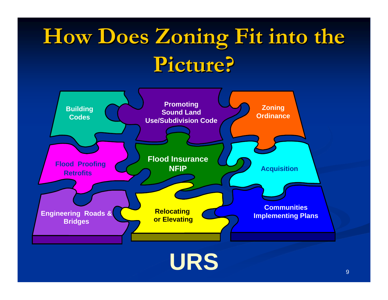# **How Does Zoning Fit into the Picture? Picture?**

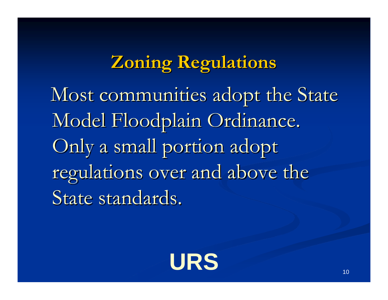#### **Zoning Regulations Zoning Regulations**

Most communities adopt the State Model Floodplain Ordinance. Only a small portion adopt regulations over and above the State standards.

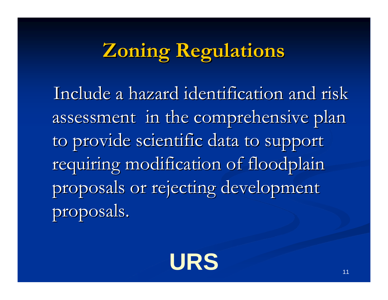## **Zoning Regulations Zoning Regulations**

Include a hazard identification and risk assessment in the comprehensive plan to provide scientific data to support requiring modification of floodplain proposals or rejecting development proposals.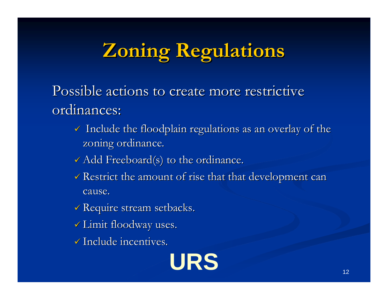# **Zoning Regulations Zoning Regulations**

Possible actions to create more restrictive ordinances:

- $\checkmark$  Include the floodplain regulations as an overlay of the zoning ordinance.
- $\checkmark$  Add Freeboard(s) to the ordinance.
- $\checkmark$  Restrict the amount of rise that that development can cause.
- $\checkmark$  Require stream setbacks.
- $\checkmark$  Limit floodway uses.
- $\checkmark$  Include incentives.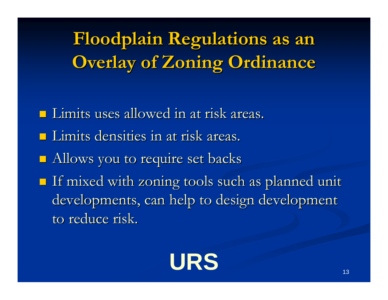**Floodplain Regulations as an Floodplain Regulations as an Overlay of Zoning Ordinance Overlay of Zoning Ordinance**

- **Limits uses allowed in at risk areas.**
- Limits densities in at risk areas. Limits densities in at risk areas.
- **Allows you to require set backs**
- If mixed with zoning tools such as planned unit If mixed with zoning tools such as planned unit developments, can help to design development to reduce risk.

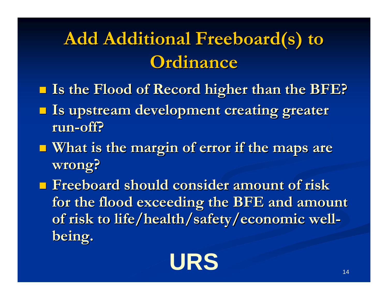### **Add Additional Freeboard(s) to Ordinance Ordinance**

- **Is the Flood of Record higher than the BFE? Is the Flood of Record higher than the BFE?**
- $\Box$ Is upstream development creating greater **run-off?**
- **Nhat is the margin of error if the maps are wrong?**
- **Figure 1** Freeboard should consider amount of risk **for the flood exceeding the BFE and amount for the flood exceeding the BFE and amount**  of risk to life/health/safety/economic well**being.**

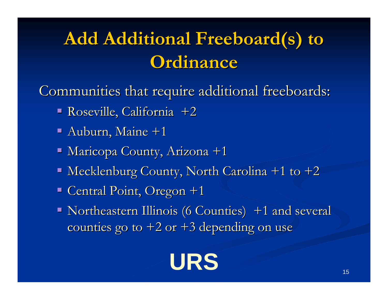### **Add Additional Freeboard(s) to Ordinance Ordinance**

Communities that require additional freeboards:

- Roseville, California +2 Roseville, California +2
- $\blacksquare$  Auburn, Maine +1
- Maricopa County, Arizona +1
- $\blacksquare$  Mecklenburg County, North Carolina +1 to +2
- $\blacksquare$  Central Point, Oregon +1
- Northeastern Illinois (6 Counties) +1 and several counties go to  $+2$  or  $+3$  depending on use

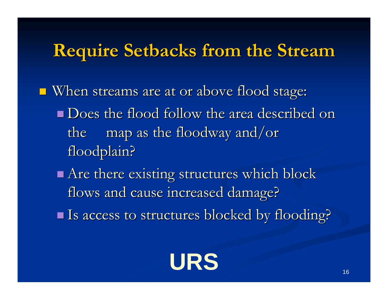#### **Require Setbacks from the Stream**

When streams are at or above flood stage: When streams are at or above flood stage:

- **Does the flood follow the area described on** the map as the floodway and/or floodplain?
- $\blacksquare$  Are there existing structures which block flows and cause increased damage?

Is access to structures blocked by flooding? Is access to structures blocked by flooding?

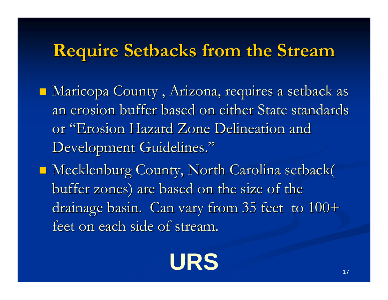#### **Require Setbacks from the Stream**

- $\blacksquare$  Maricopa County , Arizona, requires a setback as an erosion buffer based on either State standards or "Erosion Hazard Zone Delineation and Development Guidelines."
- **Mecklenburg County, North Carolina setback(** buffer zones) are based on the size of the drainage basin. Can vary from 35 feet to  $100+$ feet on each side of stream.

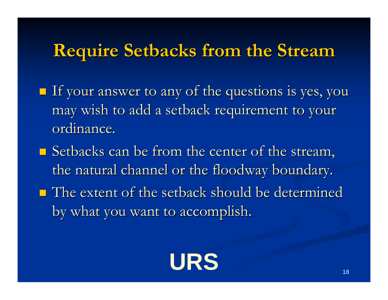#### **Require Setbacks from the Stream**

- $\blacksquare$  If your answer to any of the questions is yes, you may wish to add a setback requirement to your may wish to add a setback requirement to your ordinance.
- $\blacksquare$  Setbacks can be from the center of the stream, the natural channel or the floodway boundary.
- $\blacksquare$  The extent of the setback should be determined by what you want to accomplish.

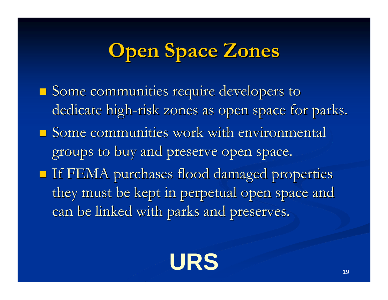## **Open Space Zones**

**Some communities require developers to** dedicate high-risk zones as open space for parks.  $\blacksquare$  Some communities work with environmental groups to buy and preserve open space.  $\blacksquare$  If FEMA purchases flood damaged properties they must be kept in perpetual open space and can be linked with parks and preserves.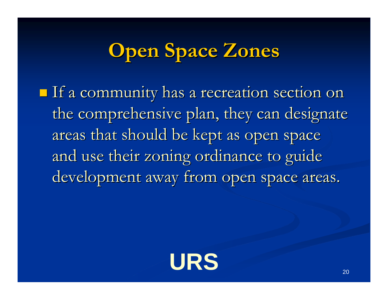## **Open Space Zones Open Space Zones**

 $\blacksquare$  If a community has a recreation section on the comprehensive plan, they can designate areas that should be kept as open space and use their zoning ordinance to guide development away from open space areas.

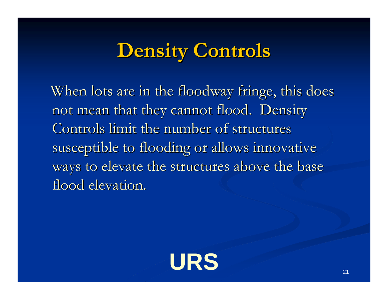When lots are in the floodway fringe, this does not mean that they cannot flood. Density Controls limit the number of structures susceptible to flooding or allows innovative ways to elevate the structures above the base flood elevation.

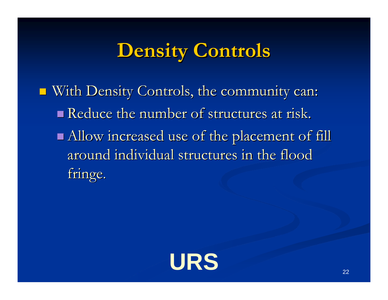With Density Controls, the community can: With Density Controls, the community can:  $\blacksquare$  Reduce the number of structures at risk.  $\blacksquare$  Allow increased use of the placement of fill around individual structures in the flood fringe.

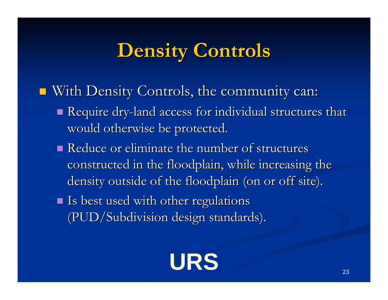- With Density Controls, the community can: With Density Controls, the community can:
	- $\blacksquare$  Require dry-land access for individual structures that would otherwise be protected.
	- $\blacksquare$  Reduce or eliminate the number of structures constructed in the floodplain, while increasing the density outside of the floodplain (on or off site).
	- If Is best used with other regulations (PUD/Subdivision design standards). (PUD/Subdivision design standards).

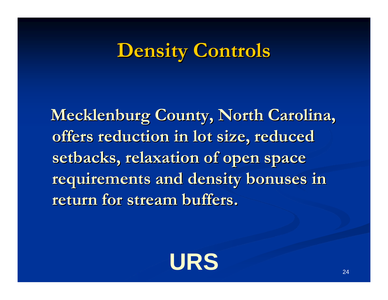**Mecklenburg County, North Carolina,** offers reduction in lot size, reduced **setbacks, relaxation of open space setbacks, relaxation of open space requirements and density bonuses in requirements and density bonuses in return for stream buffers. return for stream buffers.**

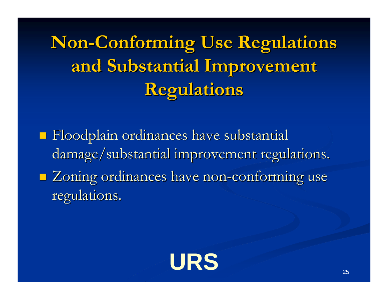**Non-Conforming Use Regulations and Substantial Improvement and Substantial Improvement Regulations Regulations**

**Floodplain ordinances have substantial** damage/substantial improvement regulations. **E** Zoning ordinances have non-conforming use regulations.

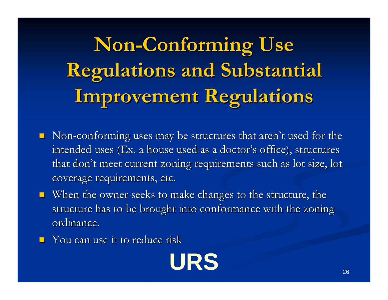**Non-Conforming Use Regulations and Substantial Improvement Regulations Improvement Regulations**

- $\blacksquare$  Non-conforming uses may be structures that aren't used for the intended uses (Ex. a house used as a doctor's office), structures that don't meet current zoning requirements such as lot size, lot coverage requirements, etc.
- $\blacksquare$  When the owner seeks to make changes to the structure, the structure has to be brought into conformance with the zoning ordinance.
- $\blacksquare$  You can use it to reduce risk

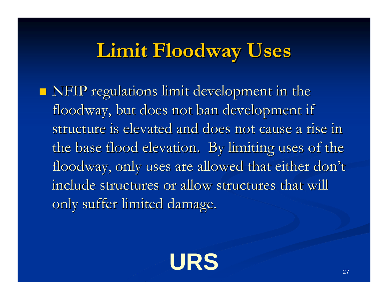### **Limit Floodway Uses Limit Floodway Uses**

 $\blacksquare$  NFIP regulations limit development in the floodway, but does not ban development if structure is elevated and does not cause a rise in the base flood elevation. By limiting uses of the floodway, only uses are allowed that either don't include structures or allow structures that will only suffer limited damage.

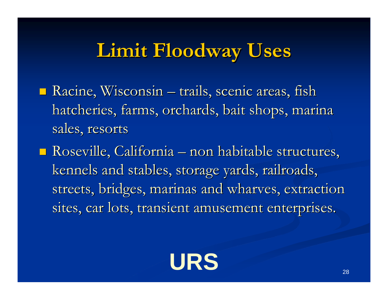### **Limit Floodway Uses Limit Floodway Uses**

- $\blacksquare$  Racine, Wisconsin trails, scenic areas, fish hatcheries, farms, orchards, bait shops, marina sales, resorts
- Roseville, California non habitable structures, kennels and stables, storage yards, railroads, streets, bridges, marinas and wharves, extraction sites, car lots, transient amusement enterprises.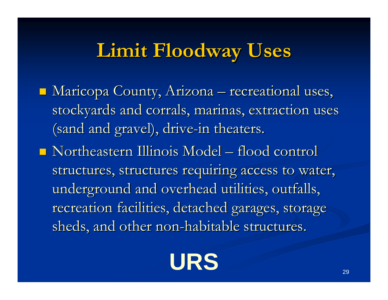### **Limit Floodway Uses Limit Floodway Uses**

- $\blacksquare$  Maricopa County, Arizona recreational uses, stockyards and corrals, marinas, extraction uses (sand and gravel), drive-in theaters.
- $\blacksquare$  Northeastern Illinois Model flood control structures, structures requiring access to water, underground and overhead utilities, outfalls, recreation facilities, detached garages, storage sheds, and other non-habitable structures.

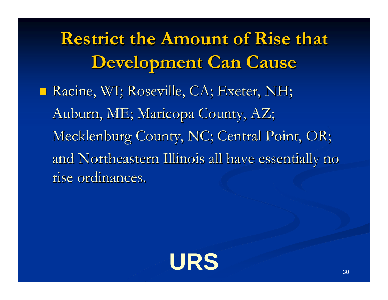**Restrict the Amount of Rise that Development Can Cause Development Can Cause** ■ Racine, WI; Roseville, CA; Exeter, NH; Auburn, ME; Maricopa County, AZ; Mecklenburg County, NC; Central Point, OR; and Northeastern Illinois all have essentially no rise ordinances.

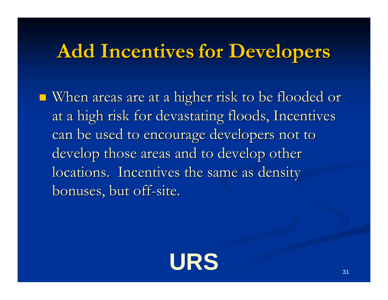#### **Add Incentives Add Incentives for Developers for Developers**

 $\blacksquare$  When areas are at a higher risk to be flooded or at a high risk for devastating floods, Incentives can be used to encourage developers not to develop those areas and to develop other locations. Incentives the same as density bonuses, but off-site.

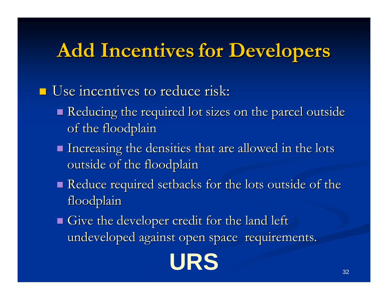### **Add Incentives Add Incentives for Developers for Developers**

 $\blacksquare$  Use incentives to reduce risk:

- Reducing the required lot sizes on the parcel outside of the floodplain
- $\blacksquare$  Increasing the densities that are allowed in the lots outside of the floodplain
- Reduce required setbacks for the lots outside of the floodplain
- $\blacksquare$  Give the developer credit for the land left undeveloped against open space requirements.

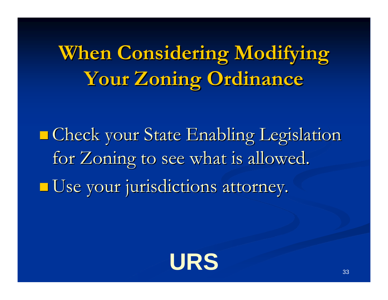**When Considering Modifying Your Zoning Ordinance Your Zoning Ordinance**

 $\blacksquare$  **Check your State Enabling Legislation** for Zoning to see what is allowed. Use your jurisdictions attorney.

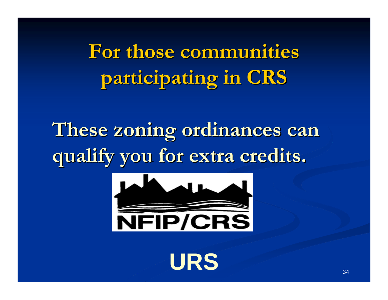**For those communities For those communities participating in CRS participating in CRS**

**These zoning ordinances can These zoning ordinances can qualify you for extra credits. qualify you for extra credits.** 



URS SALL STRAIN STRAIN STRAIN STRAIN